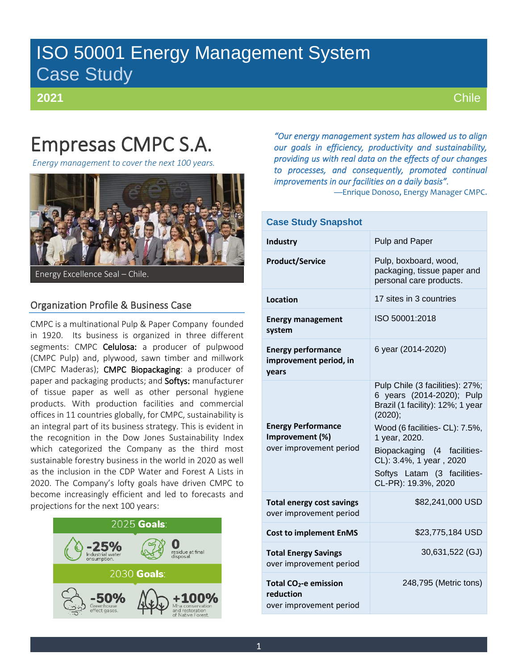# ISO 50001 Energy Management System Case Study

**2021**

**Chile** 

# Empresas CMPC S.A.

*Energy management to cover the next 100 years.*



Energy Excellence Seal – Chile.

# Organization Profile & Business Case

CMPC is a multinational Pulp & Paper Company founded in 1920. Its business is organized in three different segments: CMPC Celulosa: a producer of pulpwood (CMPC Pulp) and, plywood, sawn timber and millwork (CMPC Maderas); CMPC Biopackaging: a producer of paper and packaging products; and Softys: manufacturer of tissue paper as well as other personal hygiene products. With production facilities and commercial offices in 11 countries globally, for CMPC, sustainability is an integral part of its business strategy. This is evident in the recognition in the Dow Jones Sustainability Index which categorized the Company as the third most sustainable forestry business in the world in 2020 as well as the inclusion in the CDP Water and Forest A Lists in 2020. The Company's lofty goals have driven CMPC to become increasingly efficient and led to forecasts and projections for the next 100 years:



*"Our energy management system has allowed us to align our goals in efficiency, productivity and sustainability, providing us with real data on the effects of our changes to processes, and consequently, promoted continual improvements in our facilities on a daily basis".* 

—Enrique Donoso, Energy Manager CMPC.

| <b>Case Study Snapshot</b>                                                |                                                                                                                                                                                                                                                                                |  |  |  |
|---------------------------------------------------------------------------|--------------------------------------------------------------------------------------------------------------------------------------------------------------------------------------------------------------------------------------------------------------------------------|--|--|--|
| Industry                                                                  | Pulp and Paper                                                                                                                                                                                                                                                                 |  |  |  |
| <b>Product/Service</b>                                                    | Pulp, boxboard, wood,<br>packaging, tissue paper and<br>personal care products.                                                                                                                                                                                                |  |  |  |
| Location                                                                  | 17 sites in 3 countries                                                                                                                                                                                                                                                        |  |  |  |
| <b>Energy management</b><br>system                                        | ISO 50001:2018                                                                                                                                                                                                                                                                 |  |  |  |
| <b>Energy performance</b><br>improvement period, in<br>years              | 6 year (2014-2020)                                                                                                                                                                                                                                                             |  |  |  |
| <b>Energy Performance</b><br>Improvement (%)<br>over improvement period   | Pulp Chile (3 facilities): 27%;<br>6 years (2014-2020); Pulp<br>Brazil (1 facility): 12%; 1 year<br>(2020);<br>Wood (6 facilities- CL): 7.5%,<br>1 year, 2020.<br>Biopackaging (4 facilities-<br>CL): 3.4%, 1 year, 2020<br>Softys Latam (3 facilities-<br>CL-PR): 19.3%, 2020 |  |  |  |
| <b>Total energy cost savings</b><br>over improvement period               | \$82,241,000 USD                                                                                                                                                                                                                                                               |  |  |  |
| <b>Cost to implement EnMS</b>                                             | \$23,775,184 USD                                                                                                                                                                                                                                                               |  |  |  |
| <b>Total Energy Savings</b><br>over improvement period                    | 30,631,522 (GJ)                                                                                                                                                                                                                                                                |  |  |  |
| Total CO <sub>2</sub> -e emission<br>reduction<br>over improvement period | 248,795 (Metric tons)                                                                                                                                                                                                                                                          |  |  |  |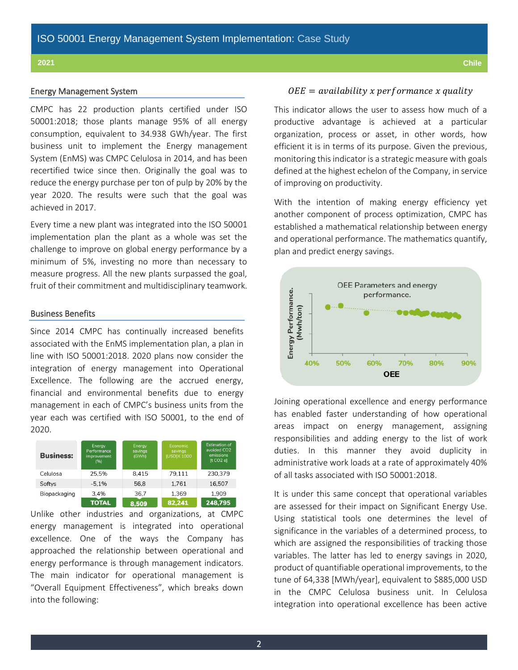### Energy Management System

CMPC has 22 production plants certified under ISO 50001:2018; those plants manage 95% of all energy consumption, equivalent to 34.938 GWh/year. The first business unit to implement the Energy management System (EnMS) was CMPC Celulosa in 2014, and has been recertified twice since then. Originally the goal was to reduce the energy purchase per ton of pulp by 20% by the year 2020. The results were such that the goal was achieved in 2017.

Every time a new plant was integrated into the ISO 50001 implementation plan the plant as a whole was set the challenge to improve on global energy performance by a minimum of 5%, investing no more than necessary to measure progress. All the new plants surpassed the goal, fruit of their commitment and multidisciplinary teamwork.

# Business Benefits

Since 2014 CMPC has continually increased benefits associated with the EnMS implementation plan, a plan in line with ISO 50001:2018. 2020 plans now consider the integration of energy management into Operational Excellence. The following are the accrued energy, financial and environmental benefits due to energy management in each of CMPC's business units from the year each was certified with ISO 50001, to the end of 2020.

| <b>Business:</b> | <b>Energy</b><br>Performance<br>improvement<br>(96) | Energy<br>savings<br>(GWh) | Economic<br>savings<br>[USD]X 1000 | <b>Estimation of</b><br>avoided CO2<br>emissions<br>[t CO2 e] |
|------------------|-----------------------------------------------------|----------------------------|------------------------------------|---------------------------------------------------------------|
| Celulosa         | 25.5%                                               | 8.415                      | 79.111                             | 230,379                                                       |
| Softys           | $-5.1%$                                             | 56,8                       | 1,761                              | 16,507                                                        |
| Biopackaging     | 3.4%                                                | 36.7                       | 1.369                              | 1.909                                                         |
|                  | <b>TOTAL</b>                                        | 8,509                      | 82,241                             | 248,795                                                       |

Unlike other industries and organizations, at CMPC energy management is integrated into operational excellence. One of the ways the Company has approached the relationship between operational and energy performance is through management indicators. The main indicator for operational management is "Overall Equipment Effectiveness", which breaks down into the following:

## $0EE = availability x performance x quality$

This indicator allows the user to assess how much of a productive advantage is achieved at a particular organization, process or asset, in other words, how efficient it is in terms of its purpose. Given the previous, monitoring this indicator is a strategic measure with goals defined at the highest echelon of the Company, in service of improving on productivity.

With the intention of making energy efficiency yet another component of process optimization, CMPC has established a mathematical relationship between energy and operational performance. The mathematics quantify, plan and predict energy savings.



Joining operational excellence and energy performance has enabled faster understanding of how operational areas impact on energy management, assigning responsibilities and adding energy to the list of work duties. In this manner they avoid duplicity in administrative work loads at a rate of approximately 40% of all tasks associated with ISO 50001:2018.

It is under this same concept that operational variables are assessed for their impact on Significant Energy Use. Using statistical tools one determines the level of significance in the variables of a determined process, to which are assigned the responsibilities of tracking those variables. The latter has led to energy savings in 2020, product of quantifiable operational improvements, to the tune of 64,338 [MWh/year], equivalent to \$885,000 USD in the CMPC Celulosa business unit. In Celulosa integration into operational excellence has been active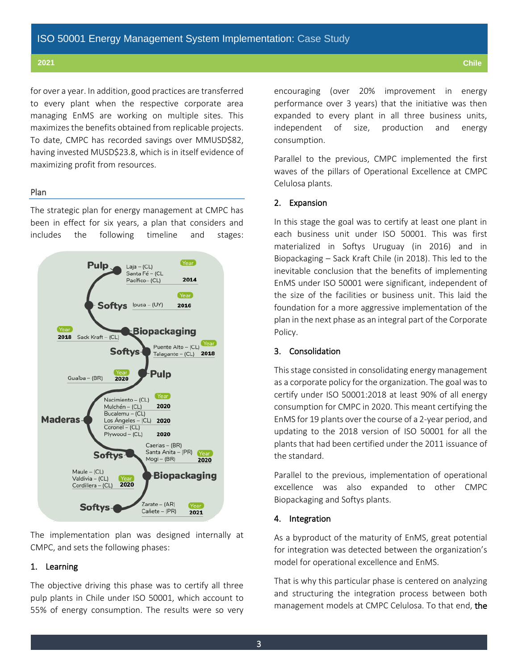for over a year. In addition, good practices are transferred to every plant when the respective corporate area managing EnMS are working on multiple sites. This maximizes the benefits obtained from replicable projects. To date, CMPC has recorded savings over MMUSD\$82, having invested MUSD\$23.8, which is in itself evidence of maximizing profit from resources.

# Plan

The strategic plan for energy management at CMPC has been in effect for six years, a plan that considers and includes the following timeline and stages:



The implementation plan was designed internally at CMPC, and sets the following phases:

# 1. Learning

The objective driving this phase was to certify all three pulp plants in Chile under ISO 50001, which account to 55% of energy consumption. The results were so very encouraging (over 20% improvement in energy performance over 3 years) that the initiative was then expanded to every plant in all three business units, independent of size, production and energy consumption.

Parallel to the previous, CMPC implemented the first waves of the pillars of Operational Excellence at CMPC Celulosa plants.

## 2. Expansion

In this stage the goal was to certify at least one plant in each business unit under ISO 50001. This was first materialized in Softys Uruguay (in 2016) and in Biopackaging – Sack Kraft Chile (in 2018). This led to the inevitable conclusion that the benefits of implementing EnMS under ISO 50001 were significant, independent of the size of the facilities or business unit. This laid the foundation for a more aggressive implementation of the plan in the next phase as an integral part of the Corporate Policy.

# 3. Consolidation

This stage consisted in consolidating energy management as a corporate policy for the organization. The goal was to certify under ISO 50001:2018 at least 90% of all energy consumption for CMPC in 2020. This meant certifying the EnMS for 19 plants over the course of a 2-year period, and updating to the 2018 version of ISO 50001 for all the plants that had been certified under the 2011 issuance of the standard.

Parallel to the previous, implementation of operational excellence was also expanded to other CMPC Biopackaging and Softys plants.

### 4. Integration

As a byproduct of the maturity of EnMS, great potential for integration was detected between the organization's model for operational excellence and EnMS.

That is why this particular phase is centered on analyzing and structuring the integration process between both management models at CMPC Celulosa. To that end, the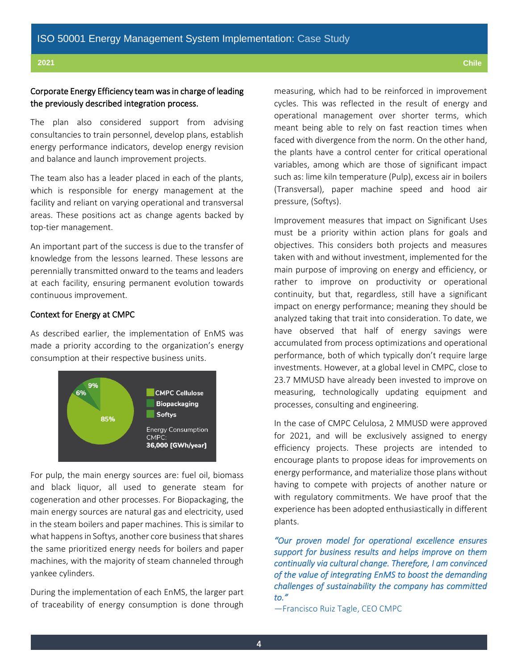# Corporate Energy Efficiency team was in charge of leading the previously described integration process.

The plan also considered support from advising consultancies to train personnel, develop plans, establish energy performance indicators, develop energy revision and balance and launch improvement projects.

The team also has a leader placed in each of the plants, which is responsible for energy management at the facility and reliant on varying operational and transversal areas. These positions act as change agents backed by top-tier management.

An important part of the success is due to the transfer of knowledge from the lessons learned. These lessons are perennially transmitted onward to the teams and leaders at each facility, ensuring permanent evolution towards continuous improvement.

# Context for Energy at CMPC

As described earlier, the implementation of EnMS was made a priority according to the organization's energy consumption at their respective business units.



For pulp, the main energy sources are: fuel oil, biomass and black liquor, all used to generate steam for cogeneration and other processes. For Biopackaging, the main energy sources are natural gas and electricity, used in the steam boilers and paper machines. This is similar to what happens in Softys, another core business that shares the same prioritized energy needs for boilers and paper machines, with the majority of steam channeled through yankee cylinders.

During the implementation of each EnMS, the larger part of traceability of energy consumption is done through

measuring, which had to be reinforced in improvement cycles. This was reflected in the result of energy and operational management over shorter terms, which meant being able to rely on fast reaction times when faced with divergence from the norm. On the other hand, the plants have a control center for critical operational variables, among which are those of significant impact such as: lime kiln temperature (Pulp), excess air in boilers (Transversal), paper machine speed and hood air pressure, (Softys).

Improvement measures that impact on Significant Uses must be a priority within action plans for goals and objectives. This considers both projects and measures taken with and without investment, implemented for the main purpose of improving on energy and efficiency, or rather to improve on productivity or operational continuity, but that, regardless, still have a significant impact on energy performance; meaning they should be analyzed taking that trait into consideration. To date, we have observed that half of energy savings were accumulated from process optimizations and operational performance, both of which typically don't require large investments. However, at a global level in CMPC, close to 23.7 MMUSD have already been invested to improve on measuring, technologically updating equipment and processes, consulting and engineering.

In the case of CMPC Celulosa, 2 MMUSD were approved for 2021, and will be exclusively assigned to energy efficiency projects. These projects are intended to encourage plants to propose ideas for improvements on energy performance, and materialize those plans without having to compete with projects of another nature or with regulatory commitments. We have proof that the experience has been adopted enthusiastically in different plants.

*"Our proven model for operational excellence ensures support for business results and helps improve on them continually via cultural change. Therefore, I am convinced of the value of integrating EnMS to boost the demanding challenges of sustainability the company has committed to."* 

—Francisco Ruiz Tagle, CEO CMPC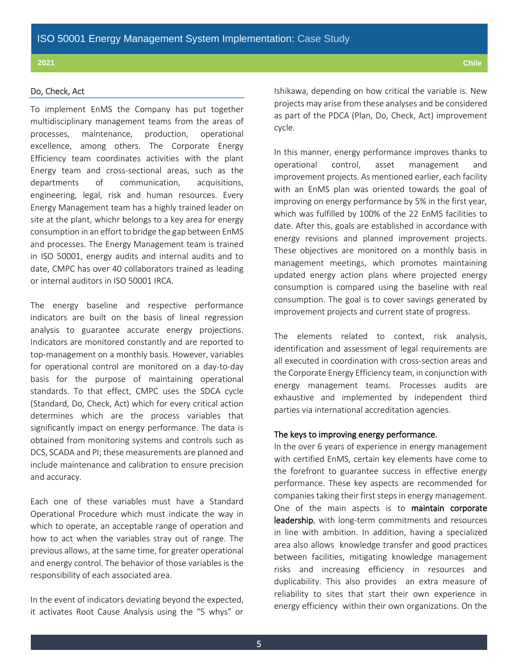# Do, Check, Act

To implement EnMS the Company has put together multidisciplinary management teams from the areas of processes, maintenance, production, operational excellence, among others. The Corporate Energy Efficiency team coordinates activities with the plant Energy team and cross-sectional areas, such as the departments of communication, acquisitions, engineering, legal, risk and human resources. Every Energy Management team has a highly trained leader on site at the plant, whichr belongs to a key area for energy consumption in an effort to bridge the gap between EnMS and processes. The Energy Management team is trained in ISO 50001, energy audits and internal audits and to date, CMPC has over 40 collaborators trained as leading or internal auditors in ISO 50001 IRCA.

The energy baseline and respective performance indicators are built on the basis of lineal regression analysis to guarantee accurate energy projections. Indicators are monitored constantly and are reported to top-management on a monthly basis. However, variables for operational control are monitored on a day-to-day basis for the purpose of maintaining operational standards. To that effect, CMPC uses the SDCA cycle (Standard, Do, Check, Act) which for every critical action determines which are the process variables that significantly impact on energy performance. The data is obtained from monitoring systems and controls such as DCS, SCADA and PI; these measurements are planned and include maintenance and calibration to ensure precision and accuracy.

Each one of these variables must have a Standard Operational Procedure which must indicate the way in which to operate, an acceptable range of operation and how to act when the variables stray out of range. The previous allows, at the same time, for greater operational and energy control. The behavior of those variables is the responsibility of each associated area.

In the event of indicators deviating beyond the expected, it activates Root Cause Analysis using the "5 whys" or Ishikawa, depending on how critical the variable is. New projects may arise from these analyses and be considered as part of the PDCA (Plan, Do, Check, Act) improvement cycle.

In this manner, energy performance improves thanks to operational control, asset management and improvement projects. As mentioned earlier, each facility with an EnMS plan was oriented towards the goal of improving on energy performance by 5% in the first year, which was fulfilled by 100% of the 22 EnMS facilities to date. After this, goals are established in accordance with energy revisions and planned improvement projects. These objectives are monitored on a monthly basis in management meetings, which promotes maintaining updated energy action plans where projected energy consumption is compared using the baseline with real consumption. The goal is to cover savings generated by improvement projects and current state of progress.

The elements related to context, risk analysis, identification and assessment of legal requirements are all executed in coordination with cross-section areas and the Corporate Energy Efficiency team, in conjunction with energy management teams. Processes audits are exhaustive and implemented by independent third parties via international accreditation agencies.

# The keys to improving energy performance.

In the over 6 years of experience in energy management with certified EnMS, certain key elements have come to the forefront to guarantee success in effective energy performance. These key aspects are recommended for companies taking their first steps in energy management. One of the main aspects is to maintain corporate leadership, with long-term commitments and resources in line with ambition. In addition, having a specialized area also allows knowledge transfer and good practices between facilities, mitigating knowledge management risks and increasing efficiency in resources and duplicability. This also provides an extra measure of reliability to sites that start their own experience in energy efficiency within their own organizations. On the